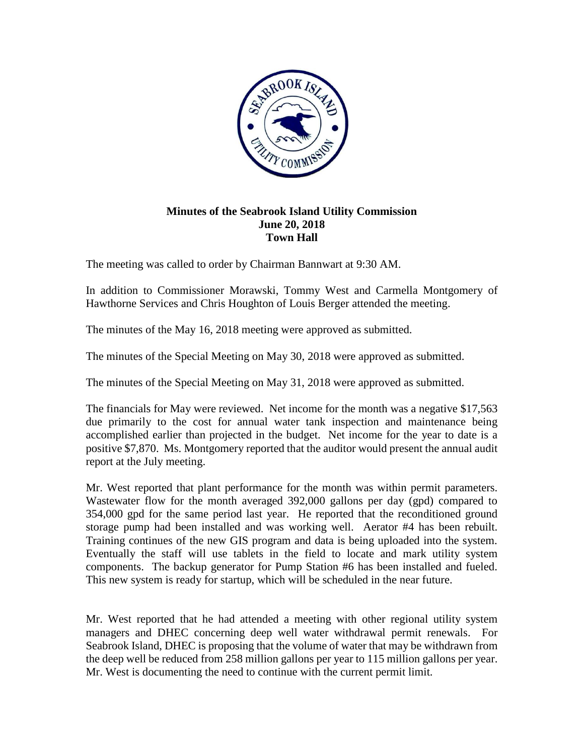

## **Minutes of the Seabrook Island Utility Commission June 20, 2018 Town Hall**

The meeting was called to order by Chairman Bannwart at 9:30 AM.

In addition to Commissioner Morawski, Tommy West and Carmella Montgomery of Hawthorne Services and Chris Houghton of Louis Berger attended the meeting.

The minutes of the May 16, 2018 meeting were approved as submitted.

The minutes of the Special Meeting on May 30, 2018 were approved as submitted.

The minutes of the Special Meeting on May 31, 2018 were approved as submitted.

The financials for May were reviewed. Net income for the month was a negative \$17,563 due primarily to the cost for annual water tank inspection and maintenance being accomplished earlier than projected in the budget. Net income for the year to date is a positive \$7,870. Ms. Montgomery reported that the auditor would present the annual audit report at the July meeting.

Mr. West reported that plant performance for the month was within permit parameters. Wastewater flow for the month averaged 392,000 gallons per day (gpd) compared to 354,000 gpd for the same period last year. He reported that the reconditioned ground storage pump had been installed and was working well. Aerator #4 has been rebuilt. Training continues of the new GIS program and data is being uploaded into the system. Eventually the staff will use tablets in the field to locate and mark utility system components. The backup generator for Pump Station #6 has been installed and fueled. This new system is ready for startup, which will be scheduled in the near future.

Mr. West reported that he had attended a meeting with other regional utility system managers and DHEC concerning deep well water withdrawal permit renewals. For Seabrook Island, DHEC is proposing that the volume of water that may be withdrawn from the deep well be reduced from 258 million gallons per year to 115 million gallons per year. Mr. West is documenting the need to continue with the current permit limit.